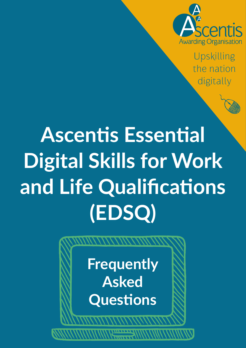

Upskilling the nation digitally



**Frequently Asked Questions**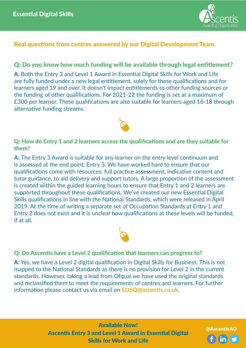

# Real questions from centres answered by our Digital Development Team.

# Q: Do you know how much funding will be available through legal entitlement?

**A:** Both the Entry 3 and Level 1 Award in Essential Digital Skills for Work and Life are fully funded under a new legal entitlement, solely for these qualifications and for learners aged 19 and over. It doesn't impact entitlements to other funding sources or the funding of other qualifications. For 2021-22 the funding is set at a maximum of £300 per learner. These qualifications are also suitable for learners aged 16-18 through alternative funding streams.



## Q: How do Entry 1 and 2 learners access the qualifications and are they suitable for them?

**A:** The Entry 3 Award is suitable for any learner on the entry level continuum and is assessed at the end point, Entry 3. We have worked hard to ensure that our qualifications come with resources: full practice assessment, indicative content and tutor guidance, to aid delivery and support tutors. A large proportion of the assessment is created within the guided learning hours to ensure that Entry 1 and 2 learners are supported throughout these qualifications. We've created our new Essential Digital Skills qualifications in line with the National Standards, which were released in April 2019. At the time of writing a separate set of Occupation Standards at Entry 1 and Entry 2 does not exist and it is unclear how qualifications at these levels will be funded, if at all.



### Q: Do Ascentis have a Level 2 qualification that learners can progress to?

**A:** Yes, we have a Level 2 digital qualification in Digital Skills for Business. This is not mapped to the National Standards as there is no provision for Level 2 in the current standards. However, taking a lead from Ofqual we have used the original standards and reclassified them to meet the requirements of centres and learners. For further information please contact us via email on **[EDSQ@ascentis.co.uk](mailto:EDSQ@ascentis.co.uk)**.

> Available Now! Ascentis Entry 3 and Level 1 Award in Essential Digital Skills for Work and Life

@AscentisAO